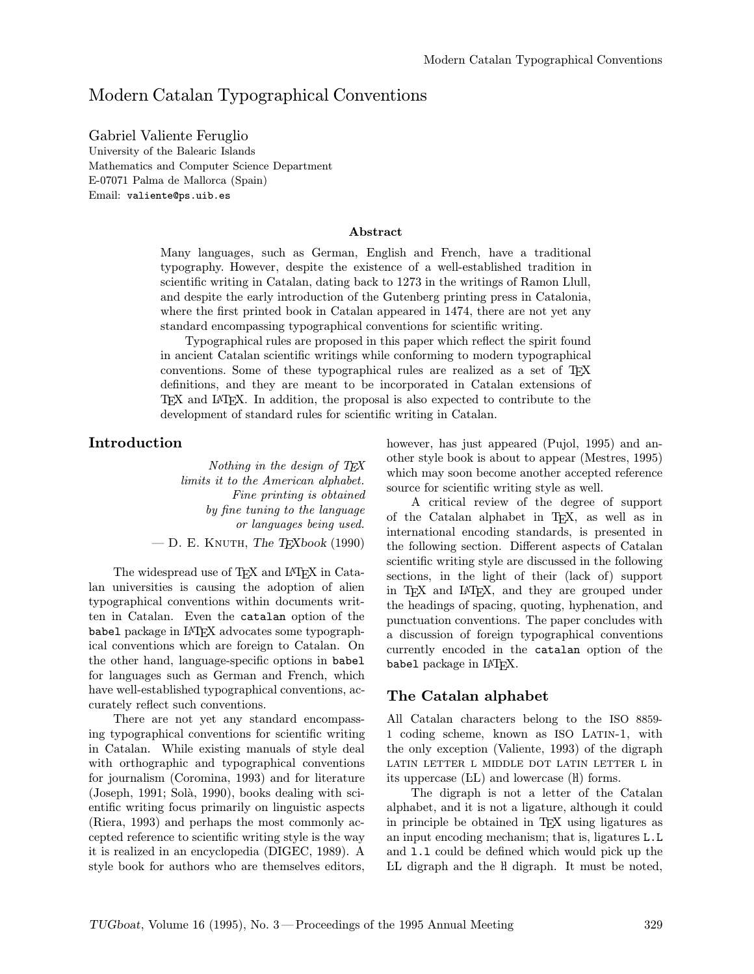## Modern Catalan Typographical Conventions

Gabriel Valiente Feruglio University of the Balearic Islands Mathematics and Computer Science Department E-07071 Palma de Mallorca (Spain) Email: valiente@ps.uib.es

#### Abstract

Many languages, such as German, English and French, have a traditional typography. However, despite the existence of a well-established tradition in scientific writing in Catalan, dating back to 1273 in the writings of Ramon Llull, and despite the early introduction of the Gutenberg printing press in Catalonia, where the first printed book in Catalan appeared in 1474, there are not yet any standard encompassing typographical conventions for scientific writing.

Typographical rules are proposed in this paper which reflect the spirit found in ancient Catalan scientific writings while conforming to modern typographical conventions. Some of these typographical rules are realized as a set of TEX definitions, and they are meant to be incorporated in Catalan extensions of TEX and LATEX. In addition, the proposal is also expected to contribute to the development of standard rules for scientific writing in Catalan.

#### Introduction

Nothing in the design of T<sub>E</sub>X limits it to the American alphabet. Fine printing is obtained by fine tuning to the language or languages being used.  $-$  D. E. KNUTH, The T<sub>F</sub>Xbook (1990)

The widespread use of T<sub>E</sub>X and LAT<sub>E</sub>X in Catalan universities is causing the adoption of alien typographical conventions within documents written in Catalan. Even the catalan option of the babel package in LATEX advocates some typographical conventions which are foreign to Catalan. On the other hand, language-specific options in babel for languages such as German and French, which have well-established typographical conventions, accurately reflect such conventions.

There are not yet any standard encompassing typographical conventions for scientific writing in Catalan. While existing manuals of style deal with orthographic and typographical conventions for journalism (Coromina, 1993) and for literature  $(Joseph, 1991; Solà, 1990)$ , books dealing with scientific writing focus primarily on linguistic aspects (Riera, 1993) and perhaps the most commonly accepted reference to scientific writing style is the way it is realized in an encyclopedia (DIGEC, 1989). A style book for authors who are themselves editors,

however, has just appeared (Pujol, 1995) and another style book is about to appear (Mestres, 1995) which may soon become another accepted reference source for scientific writing style as well.

A critical review of the degree of support of the Catalan alphabet in T<sub>E</sub>X, as well as in international encoding standards, is presented in the following section. Different aspects of Catalan scientific writing style are discussed in the following sections, in the light of their (lack of) support in TEX and LATEX, and they are grouped under the headings of spacing, quoting, hyphenation, and punctuation conventions. The paper concludes with a discussion of foreign typographical conventions currently encoded in the catalan option of the babel package in L<sup>AT</sup>FX.

#### The Catalan alphabet

All Catalan characters belong to the ISO 8859- 1 coding scheme, known as ISO Latin-1, with the only exception (Valiente, 1993) of the digraph latin letter l middle dot latin letter l in its uppercase (LL) and lowercase (l) forms.

The digraph is not a letter of the Catalan alphabet, and it is not a ligature, although it could in principle be obtained in TEX using ligatures as an input encoding mechanism; that is, ligatures L.L and l.l could be defined which would pick up the LL digraph and the H digraph. It must be noted,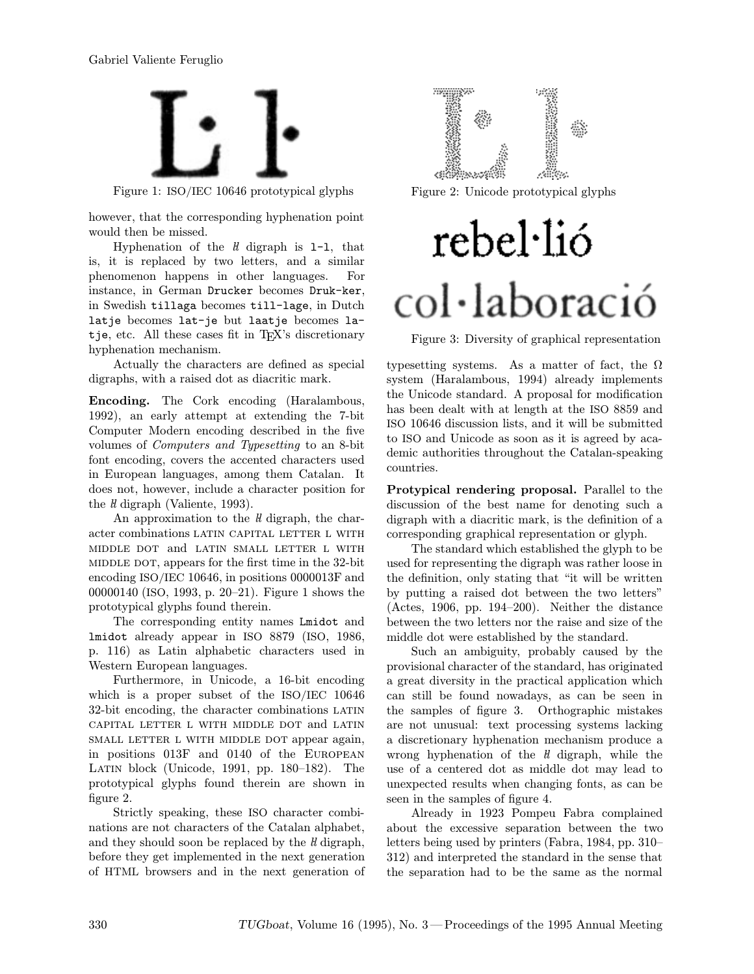

Figure 1: ISO/IEC 10646 prototypical glyphs

however, that the corresponding hyphenation point would then be missed.

Hyphenation of the  $ll$  digraph is  $l-1$ , that is, it is replaced by two letters, and a similar phenomenon happens in other languages. For instance, in German Drucker becomes Druk-ker, in Swedish tillaga becomes till-lage, in Dutch latje becomes lat-je but laatje becomes latje, etc. All these cases fit in T<sub>EX</sub>'s discretionary hyphenation mechanism.

Actually the characters are defined as special digraphs, with a raised dot as diacritic mark.

Encoding. The Cork encoding (Haralambous, 1992), an early attempt at extending the 7-bit Computer Modern encoding described in the five volumes of Computers and Typesetting to an 8-bit font encoding, covers the accented characters used in European languages, among them Catalan. It does not, however, include a character position for the  *digraph (Valiente, 1993).* 

An approximation to the  $ll$  digraph, the character combinations LATIN CAPITAL LETTER L WITH middle dot and latin small letter l with middle dot, appears for the first time in the 32-bit encoding ISO/IEC 10646, in positions 0000013F and 00000140 (ISO, 1993, p. 20–21). Figure 1 shows the prototypical glyphs found therein.

The corresponding entity names Lmidot and lmidot already appear in ISO 8879 (ISO, 1986, p. 116) as Latin alphabetic characters used in Western European languages.

Furthermore, in Unicode, a 16-bit encoding which is a proper subset of the ISO/IEC 10646 32-bit encoding, the character combinations LATIN capital letter l with middle dot and latin SMALL LETTER L WITH MIDDLE DOT appear again, in positions 013F and 0140 of the European Latin block (Unicode, 1991, pp. 180–182). The prototypical glyphs found therein are shown in figure 2.

Strictly speaking, these ISO character combinations are not characters of the Catalan alphabet, and they should soon be replaced by the  $\hat{H}$  digraph, before they get implemented in the next generation of HTML browsers and in the next generation of



Figure 2: Unicode prototypical glyphs

# rebel·lió col·laboració

Figure 3: Diversity of graphical representation

typesetting systems. As a matter of fact, the  $\Omega$ system (Haralambous, 1994) already implements the Unicode standard. A proposal for modification has been dealt with at length at the ISO 8859 and ISO 10646 discussion lists, and it will be submitted to ISO and Unicode as soon as it is agreed by academic authorities throughout the Catalan-speaking countries.

Protypical rendering proposal. Parallel to the discussion of the best name for denoting such a digraph with a diacritic mark, is the definition of a corresponding graphical representation or glyph.

The standard which established the glyph to be used for representing the digraph was rather loose in the definition, only stating that "it will be written by putting a raised dot between the two letters" (Actes, 1906, pp. 194–200). Neither the distance between the two letters nor the raise and size of the middle dot were established by the standard.

Such an ambiguity, probably caused by the provisional character of the standard, has originated a great diversity in the practical application which can still be found nowadays, as can be seen in the samples of figure 3. Orthographic mistakes are not unusual: text processing systems lacking a discretionary hyphenation mechanism produce a wrong hyphenation of the  $ll$  digraph, while the use of a centered dot as middle dot may lead to unexpected results when changing fonts, as can be seen in the samples of figure 4.

Already in 1923 Pompeu Fabra complained about the excessive separation between the two letters being used by printers (Fabra, 1984, pp. 310– 312) and interpreted the standard in the sense that the separation had to be the same as the normal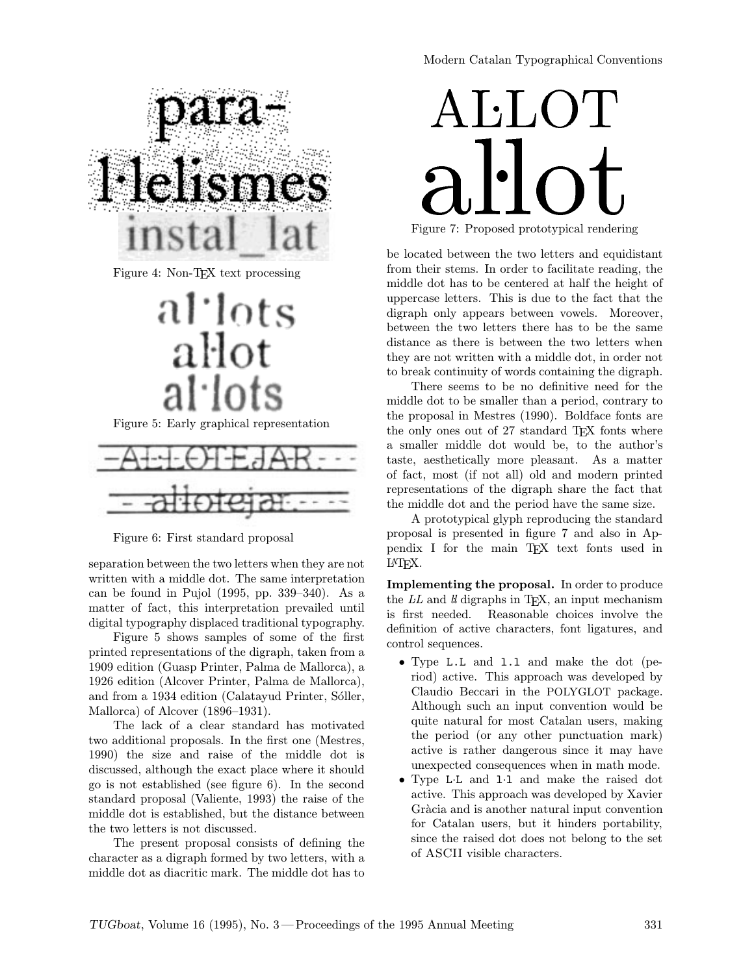

Figure 4: Non-TEX text processing



Figure 5: Early graphical representation



Figure 6: First standard proposal

separation between the two letters when they are not written with a middle dot. The same interpretation can be found in Pujol (1995, pp. 339–340). As a matter of fact, this interpretation prevailed until digital typography displaced traditional typography.

Figure 5 shows samples of some of the first printed representations of the digraph, taken from a 1909 edition (Guasp Printer, Palma de Mallorca), a 1926 edition (Alcover Printer, Palma de Mallorca), and from a 1934 edition (Calatayud Printer, Sóller, Mallorca) of Alcover (1896–1931).

The lack of a clear standard has motivated two additional proposals. In the first one (Mestres, 1990) the size and raise of the middle dot is discussed, although the exact place where it should go is not established (see figure 6). In the second standard proposal (Valiente, 1993) the raise of the middle dot is established, but the distance between the two letters is not discussed.

The present proposal consists of defining the character as a digraph formed by two letters, with a middle dot as diacritic mark. The middle dot has to

# $\Lambda$ LLOT $\perp$ dilut Figure 7: Proposed prototypical rendering lot and the contract of the contract of the contract of the contract of the contract of the contract of the contract of the contract of the contract of the contract of the contract of the contract of the contract of the co

be located between the two letters and equidistant from their stems. In order to facilitate reading, the middle dot has to be centered at half the height of uppercase letters. This is due to the fact that the digraph only appears between vowels. Moreover, between the two letters there has to be the same distance as there is between the two letters when they are not written with a middle dot, in order not to break continuity of words containing the digraph.

There seems to be no definitive need for the middle dot to be smaller than a period, contrary to the proposal in Mestres (1990). Boldface fonts are the only ones out of 27 standard T<sub>E</sub>X fonts where a smaller middle dot would be, to the author's taste, aesthetically more pleasant. As a matter of fact, most (if not all) old and modern printed representations of the digraph share the fact that the middle dot and the period have the same size.

A prototypical glyph reproducing the standard proposal is presented in figure 7 and also in Appendix I for the main TEX text fonts used in LATEX.

Implementing the proposal. In order to produce the  $LL$  and  $ll$  digraphs in TEX, an input mechanism is first needed. Reasonable choices involve the definition of active characters, font ligatures, and control sequences.

- Type L.L and 1.1 and make the dot (period) active. This approach was developed by Claudio Beccari in the POLYGLOT package. Although such an input convention would be quite natural for most Catalan users, making the period (or any other punctuation mark) active is rather dangerous since it may have unexpected consequences when in math mode.
- Type L·L and l·l and make the raised dot active. This approach was developed by Xavier Gràcia and is another natural input convention for Catalan users, but it hinders portability, since the raised dot does not belong to the set of ASCII visible characters.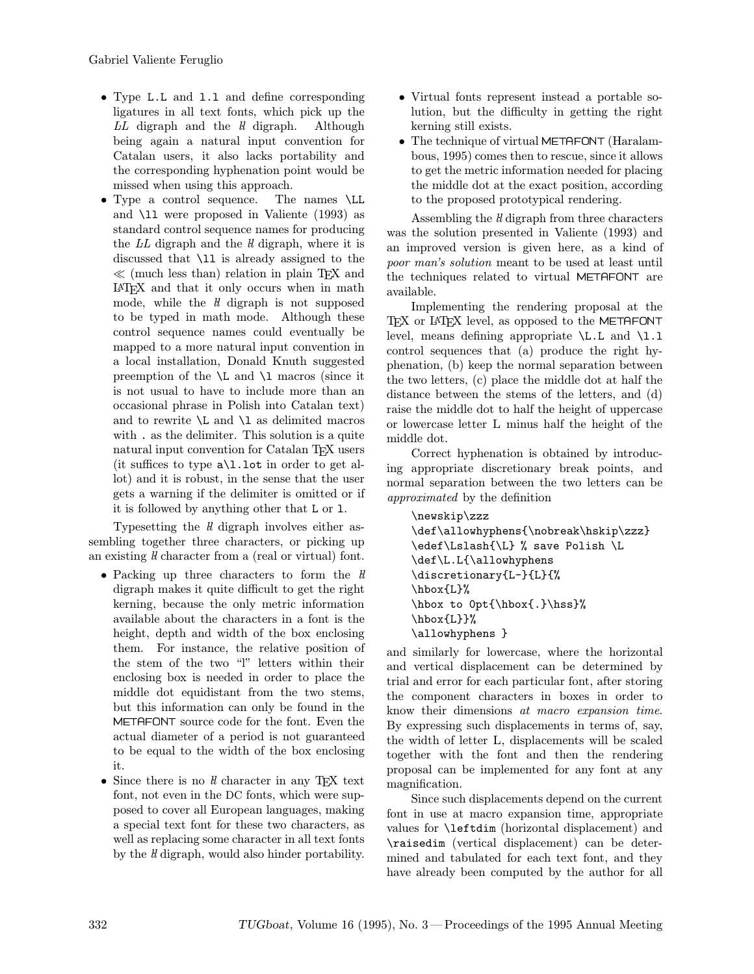- Type L.L and 1.1 and define corresponding ligatures in all text fonts, which pick up the  $L\overline{L}$  digraph and the  $ll$  digraph. Although being again a natural input convention for Catalan users, it also lacks portability and the corresponding hyphenation point would be missed when using this approach.
- Type a control sequence. The names \LL and \ll were proposed in Valiente (1993) as standard control sequence names for producing the LL digraph and the  $ll$  digraph, where it is discussed that \ll is already assigned to the  $\ll$  (much less than) relation in plain T<sub>E</sub>X and LATEX and that it only occurs when in math mode, while the  $ll$  digraph is not supposed to be typed in math mode. Although these control sequence names could eventually be mapped to a more natural input convention in a local installation, Donald Knuth suggested preemption of the  $\L$  and  $\L$  macros (since it is not usual to have to include more than an occasional phrase in Polish into Catalan text) and to rewrite  $\L$  and  $\L$  as delimited macros with . as the delimiter. This solution is a quite natural input convention for Catalan T<sub>E</sub>X users (it suffices to type  $a\L1$ . lot in order to get allot) and it is robust, in the sense that the user gets a warning if the delimiter is omitted or if it is followed by anything other that L or l.

Typesetting the  $ll$  digraph involves either assembling together three characters, or picking up an existing  $\bar{l}$  character from a (real or virtual) font.

- Packing up three characters to form the  $li$ digraph makes it quite difficult to get the right kerning, because the only metric information available about the characters in a font is the height, depth and width of the box enclosing them. For instance, the relative position of the stem of the two "l" letters within their enclosing box is needed in order to place the middle dot equidistant from the two stems, but this information can only be found in the METAFONT source code for the font. Even the actual diameter of a period is not guaranteed to be equal to the width of the box enclosing it.
- $\bullet$  Since there is no  ${ll}$  character in any TEX text font, not even in the DC fonts, which were supposed to cover all European languages, making a special text font for these two characters, as well as replacing some character in all text fonts by the  $\hat{\mathit{l}}$  digraph, would also hinder portability.
- Virtual fonts represent instead a portable solution, but the difficulty in getting the right kerning still exists.
- The technique of virtual METAFONT (Haralambous, 1995) comes then to rescue, since it allows to get the metric information needed for placing the middle dot at the exact position, according to the proposed prototypical rendering.

Assembling the *ll* digraph from three characters was the solution presented in Valiente (1993) and an improved version is given here, as a kind of poor man's solution meant to be used at least until the techniques related to virtual METAFONT are available.

Implementing the rendering proposal at the TEX or LATEX level, as opposed to the METAFONT level, means defining appropriate  $\L L L$  and  $\L L$ control sequences that (a) produce the right hyphenation, (b) keep the normal separation between the two letters, (c) place the middle dot at half the distance between the stems of the letters, and (d) raise the middle dot to half the height of uppercase or lowercase letter L minus half the height of the middle dot.

Correct hyphenation is obtained by introducing appropriate discretionary break points, and normal separation between the two letters can be approximated by the definition

```
\newskip\zzz
\def\allowhyphens{\nobreak\hskip\zzz}
\edef\Lslash{\L} % save Polish \L
\def\L.L{\allowhyphens
\discretionary{L-}{L}{%
\hbox{L}%
\hbox to 0pt{\hbox{.}\hss}%
\hbarbox{L}}%
\allowhyphens }
```
and similarly for lowercase, where the horizontal and vertical displacement can be determined by trial and error for each particular font, after storing the component characters in boxes in order to know their dimensions at macro expansion time. By expressing such displacements in terms of, say, the width of letter L, displacements will be scaled together with the font and then the rendering proposal can be implemented for any font at any magnification.

Since such displacements depend on the current font in use at macro expansion time, appropriate values for \leftdim (horizontal displacement) and \raisedim (vertical displacement) can be determined and tabulated for each text font, and they have already been computed by the author for all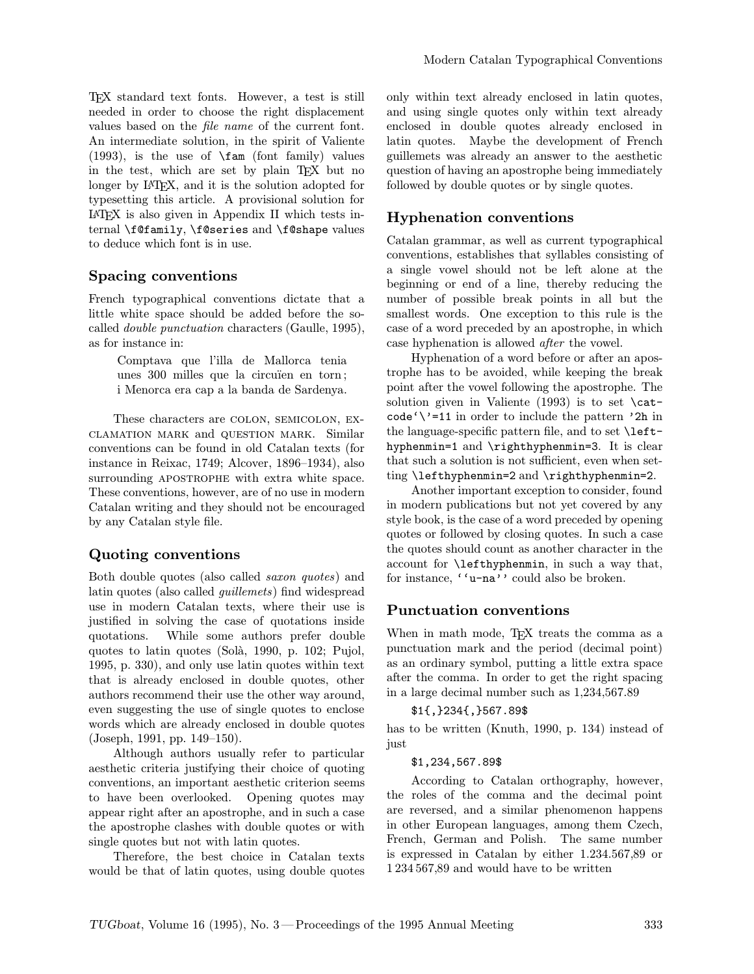TEX standard text fonts. However, a test is still needed in order to choose the right displacement values based on the file name of the current font. An intermediate solution, in the spirit of Valiente (1993), is the use of \fam (font family) values in the test, which are set by plain TEX but no longer by LAT<sub>EX</sub>, and it is the solution adopted for typesetting this article. A provisional solution for LATEX is also given in Appendix II which tests internal \f@family, \f@series and \f@shape values to deduce which font is in use.

#### Spacing conventions

French typographical conventions dictate that a little white space should be added before the socalled double punctuation characters (Gaulle, 1995), as for instance in:

> Comptava que l'illa de Mallorca tenia unes 300 milles que la circuïen en torn; i Menorca era cap a la banda de Sardenya.

These characters are colon, semicolon, exclamation mark and question mark. Similar conventions can be found in old Catalan texts (for instance in Reixac, 1749; Alcover, 1896–1934), also surrounding APOSTROPHE with extra white space. These conventions, however, are of no use in modern Catalan writing and they should not be encouraged by any Catalan style file.

#### Quoting conventions

Both double quotes (also called saxon quotes) and latin quotes (also called guillemets) find widespread use in modern Catalan texts, where their use is justified in solving the case of quotations inside quotations. While some authors prefer double quotes to latin quotes (Solà, 1990, p. 102; Pujol, 1995, p. 330), and only use latin quotes within text that is already enclosed in double quotes, other authors recommend their use the other way around, even suggesting the use of single quotes to enclose words which are already enclosed in double quotes (Joseph, 1991, pp. 149–150).

Although authors usually refer to particular aesthetic criteria justifying their choice of quoting conventions, an important aesthetic criterion seems to have been overlooked. Opening quotes may appear right after an apostrophe, and in such a case the apostrophe clashes with double quotes or with single quotes but not with latin quotes.

Therefore, the best choice in Catalan texts would be that of latin quotes, using double quotes only within text already enclosed in latin quotes, and using single quotes only within text already enclosed in double quotes already enclosed in latin quotes. Maybe the development of French guillemets was already an answer to the aesthetic question of having an apostrophe being immediately followed by double quotes or by single quotes.

#### Hyphenation conventions

Catalan grammar, as well as current typographical conventions, establishes that syllables consisting of a single vowel should not be left alone at the beginning or end of a line, thereby reducing the number of possible break points in all but the smallest words. One exception to this rule is the case of a word preceded by an apostrophe, in which case hyphenation is allowed after the vowel.

Hyphenation of a word before or after an apostrophe has to be avoided, while keeping the break point after the vowel following the apostrophe. The solution given in Valiente (1993) is to set \catcode'\'=11 in order to include the pattern '2h in the language-specific pattern file, and to set  $\let$ hyphenmin=1 and \righthyphenmin=3. It is clear that such a solution is not sufficient, even when setting \lefthyphenmin=2 and \righthyphenmin=2.

Another important exception to consider, found in modern publications but not yet covered by any style book, is the case of a word preceded by opening quotes or followed by closing quotes. In such a case the quotes should count as another character in the account for \lefthyphenmin, in such a way that, for instance, ''u-na'' could also be broken.

#### Punctuation conventions

When in math mode, T<sub>EX</sub> treats the comma as a punctuation mark and the period (decimal point) as an ordinary symbol, putting a little extra space after the comma. In order to get the right spacing in a large decimal number such as 1,234,567.89

#### \$1{,}234{,}567.89\$

has to be written (Knuth, 1990, p. 134) instead of just

#### \$1,234,567.89\$

According to Catalan orthography, however, the roles of the comma and the decimal point are reversed, and a similar phenomenon happens in other European languages, among them Czech, French, German and Polish. The same number is expressed in Catalan by either 1.234.567,89 or 1 234 567,89 and would have to be written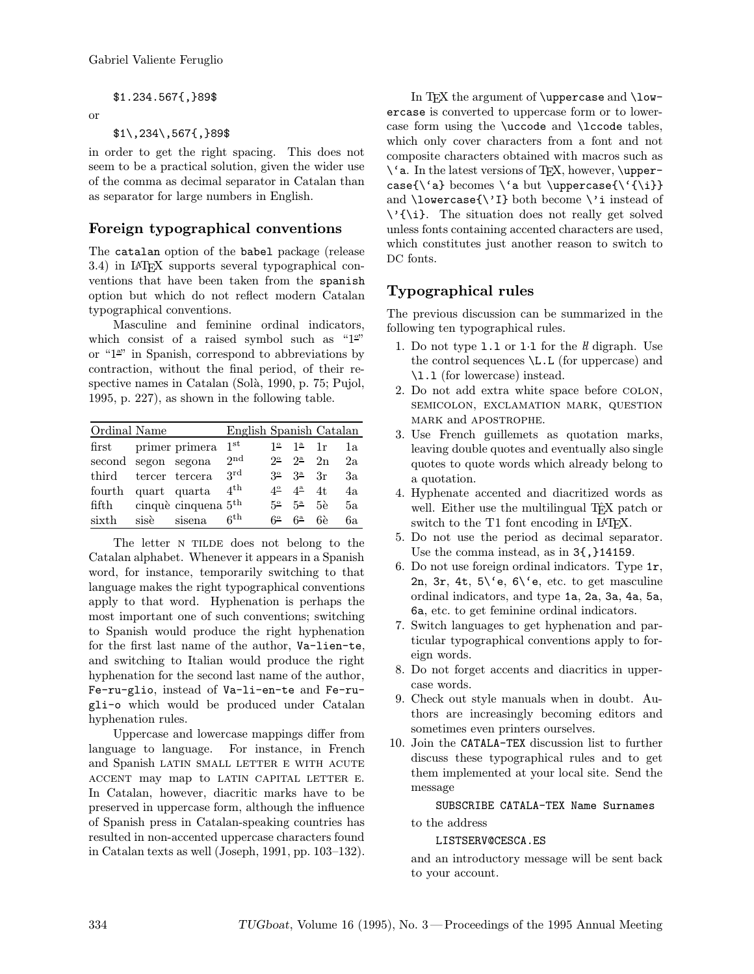#### \$1.234.567{,}89\$

#### or

#### \$1\,234\,567{,}89\$

in order to get the right spacing. This does not seem to be a practical solution, given the wider use of the comma as decimal separator in Catalan than as separator for large numbers in English.

### Foreign typographical conventions

The catalan option of the babel package (release 3.4) in LATEX supports several typographical conventions that have been taken from the spanish option but which do not reflect modern Catalan typographical conventions.

Masculine and feminine ordinal indicators, which consist of a raised symbol such as " $1<sup>o</sup>$ " or "1<sup>a</sup>" in Spanish, correspond to abbreviations by contraction, without the final period, of their respective names in Catalan (Solà, 1990, p. 75; Pujol, 1995, p. 227), as shown in the following table.

| Ordinal Name           |      |                       | English Spanish Catalan |             |                  |         |    |
|------------------------|------|-----------------------|-------------------------|-------------|------------------|---------|----|
| $\operatorname{first}$ |      | primer primera        | 1st                     | $1^{\circ}$ | 1 <sup>a</sup>   | 1r      | 1a |
| second segon segona    |      |                       | 2nd                     | 22          | $2^a$            | 2n      | 2a |
| third                  |      | tercer tercera        | 3rd                     | $3^\circ$   | 3 <sup>a</sup>   | $_{3r}$ | Зa |
| fourth                 |      | quart quarta          | 4 <sup>th</sup>         | $4^{\circ}$ | $4^{\mathrm{a}}$ | 4t.     | 4a |
| fifth                  |      | cinquè cinquena $5th$ |                         | 52          | $5^{\rm a}$      | 5e      | 5a |
| sixth                  | sisè | sisena                | 6 <sup>th</sup>         | 62          | $6^{\rm a}$      | 6è      | 6а |

The letter N TILDE does not belong to the Catalan alphabet. Whenever it appears in a Spanish word, for instance, temporarily switching to that language makes the right typographical conventions apply to that word. Hyphenation is perhaps the most important one of such conventions; switching to Spanish would produce the right hyphenation for the first last name of the author, Va-lien-te, and switching to Italian would produce the right hyphenation for the second last name of the author, Fe-ru-glio, instead of Va-li-en-te and Fe-rugli-o which would be produced under Catalan hyphenation rules.

Uppercase and lowercase mappings differ from language to language. For instance, in French and Spanish LATIN SMALL LETTER E WITH ACUTE accent may map to latin capital letter e. In Catalan, however, diacritic marks have to be preserved in uppercase form, although the influence of Spanish press in Catalan-speaking countries has resulted in non-accented uppercase characters found in Catalan texts as well (Joseph, 1991, pp. 103–132).

In T<sub>F</sub>X the argument of  $\u{p}$  are and  $\u{-}$ ercase is converted to uppercase form or to lowercase form using the \uccode and \lccode tables, which only cover characters from a font and not composite characters obtained with macros such as  $\iota$  a. In the latest versions of T<sub>F</sub>X, however,  $\u$ ppercase{\'a} becomes \'a but \uppercase{\'{\i}} and  $\Upsilon$  and  $\Upsilon$  are  $\Upsilon$  instead of  $\setminus {\setminus}$  The situation does not really get solved unless fonts containing accented characters are used, which constitutes just another reason to switch to DC fonts.

# Typographical rules

The previous discussion can be summarized in the following ten typographical rules.

- 1. Do not type  $1.1$  or  $1.1$  for the  $ll$  digraph. Use the control sequences \L.L (for uppercase) and \l.l (for lowercase) instead.
- 2. Do not add extra white space before colon, semicolon, exclamation mark, question mark and apostrophe.
- 3. Use French guillemets as quotation marks, leaving double quotes and eventually also single quotes to quote words which already belong to a quotation.
- 4. Hyphenate accented and diacritized words as well. Either use the multilingual Tf<sub>X</sub> patch or switch to the T1 font encoding in IAT<sub>F</sub>X.
- 5. Do not use the period as decimal separator. Use the comma instead, as in 3{,}14159.
- 6. Do not use foreign ordinal indicators. Type 1r, 2n, 3r, 4t, 5\'e, 6\'e, etc. to get masculine ordinal indicators, and type 1a, 2a, 3a, 4a, 5a, 6a, etc. to get feminine ordinal indicators.
- 7. Switch languages to get hyphenation and particular typographical conventions apply to foreign words.
- 8. Do not forget accents and diacritics in uppercase words.
- 9. Check out style manuals when in doubt. Authors are increasingly becoming editors and sometimes even printers ourselves.
- 10. Join the CATALA-TEX discussion list to further discuss these typographical rules and to get them implemented at your local site. Send the message

SUBSCRIBE CATALA-TEX Name Surnames to the address

LISTSERV@CESCA.ES

and an introductory message will be sent back to your account.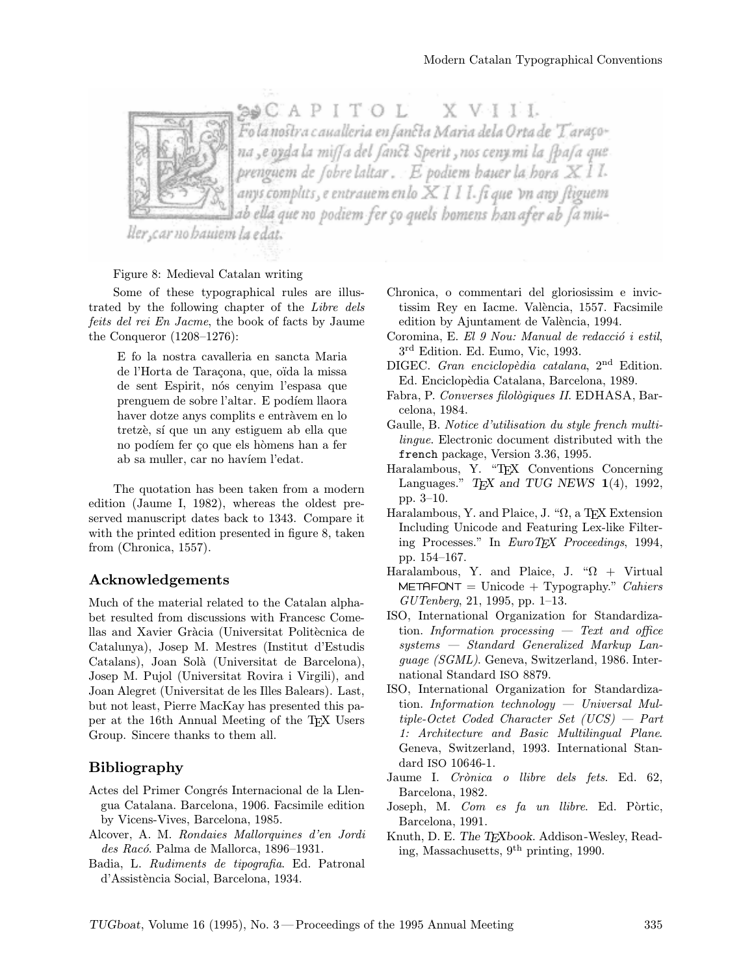SOCAPITOL XVIII .<br>Fo la nostra caualleria en fancta Maria dela Orta de 'Taraçona ,e oyda la miff a del fanct. Sperit , nos ceny mi la fpafa que prenguem de fobre laltar . E podiem hauer la hora XII. anys complits, e entrauem en lo XIII. fi que 'vn any fliguem ab ella que no podiem fer ço quels homens han afer ab ∫a miu∸

ller, car no hauiem la edat.

#### Figure 8: Medieval Catalan writing

Some of these typographical rules are illustrated by the following chapter of the Libre dels feits del rei En Jacme, the book of facts by Jaume the Conqueror (1208–1276):

> E fo la nostra cavalleria en sancta Maria de l'Horta de Taraçona, que, oïda la missa de sent Espirit, nós cenyim l'espasa que prenguem de sobre l'altar. E podíem llaora haver dotze anys complits e entràvem en lo tretzè, sí que un any estiguem ab ella que no podíem fer ço que els hòmens han a fer ab sa muller, car no havíem l'edat.

The quotation has been taken from a modern edition (Jaume I, 1982), whereas the oldest preserved manuscript dates back to 1343. Compare it with the printed edition presented in figure 8, taken from (Chronica, 1557).

#### Acknowledgements

Much of the material related to the Catalan alphabet resulted from discussions with Francesc Comellas and Xavier Gràcia (Universitat Politècnica de Catalunya), Josep M. Mestres (Institut d'Estudis Catalans), Joan Solà (Universitat de Barcelona), Josep M. Pujol (Universitat Rovira i Virgili), and Joan Alegret (Universitat de les Illes Balears). Last, but not least, Pierre MacKay has presented this paper at the 16th Annual Meeting of the TEX Users Group. Sincere thanks to them all.

#### Bibliography

- Actes del Primer Congrés Internacional de la Llengua Catalana. Barcelona, 1906. Facsimile edition by Vicens-Vives, Barcelona, 1985.
- Alcover, A. M. Rondaies Mallorquines d'en Jordi des Racó. Palma de Mallorca, 1896–1931.
- Badia, L. Rudiments de tipografia. Ed. Patronal d'Assist`encia Social, Barcelona, 1934.
- Chronica, o commentari del gloriosissim e invictissim Rey en Iacme. València, 1557. Facsimile edition by Ajuntament de València, 1994.
- Coromina, E. El 9 Nou: Manual de redacció i estil, 3rd Edition. Ed. Eumo, Vic, 1993.
- DIGEC. Gran enciclopèdia catalana, 2<sup>nd</sup> Edition. Ed. Enciclopèdia Catalana, Barcelona, 1989.
- Fabra, P. Converses filològiques II. EDHASA, Barcelona, 1984.
- Gaulle, B. Notice d'utilisation du style french multilingue. Electronic document distributed with the french package, Version 3.36, 1995.
- Haralambous, Y. "TEX Conventions Concerning Languages." T<sub>F</sub>X and TUG NEWS  $1(4)$ , 1992, pp. 3–10.
- Haralambous, Y. and Plaice, J. "Ω, a TEX Extension Including Unicode and Featuring Lex-like Filtering Processes." In EuroT<sub>F</sub>X Proceedings, 1994, pp. 154–167.
- Haralambous, Y. and Plaice, J. " $\Omega$  + Virtual  $METAFONT = Unicode + Typography."$  *Cahiers* GUTenberg, 21, 1995, pp. 1–13.
- ISO, International Organization for Standardization. Information processing  $-$  Text and office systems — Standard Generalized Markup Language (SGML). Geneva, Switzerland, 1986. International Standard ISO 8879.
- ISO, International Organization for Standardization. Information technology — Universal Multiple-Octet Coded Character Set (UCS) — Part 1: Architecture and Basic Multilingual Plane. Geneva, Switzerland, 1993. International Standard ISO 10646-1.
- Jaume I. Crònica o llibre dels fets. Ed. 62, Barcelona, 1982.
- Joseph, M. Com es fa un llibre. Ed. Pòrtic, Barcelona, 1991.
- Knuth, D. E. The TEXbook. Addison-Wesley, Reading, Massachusetts, 9th printing, 1990.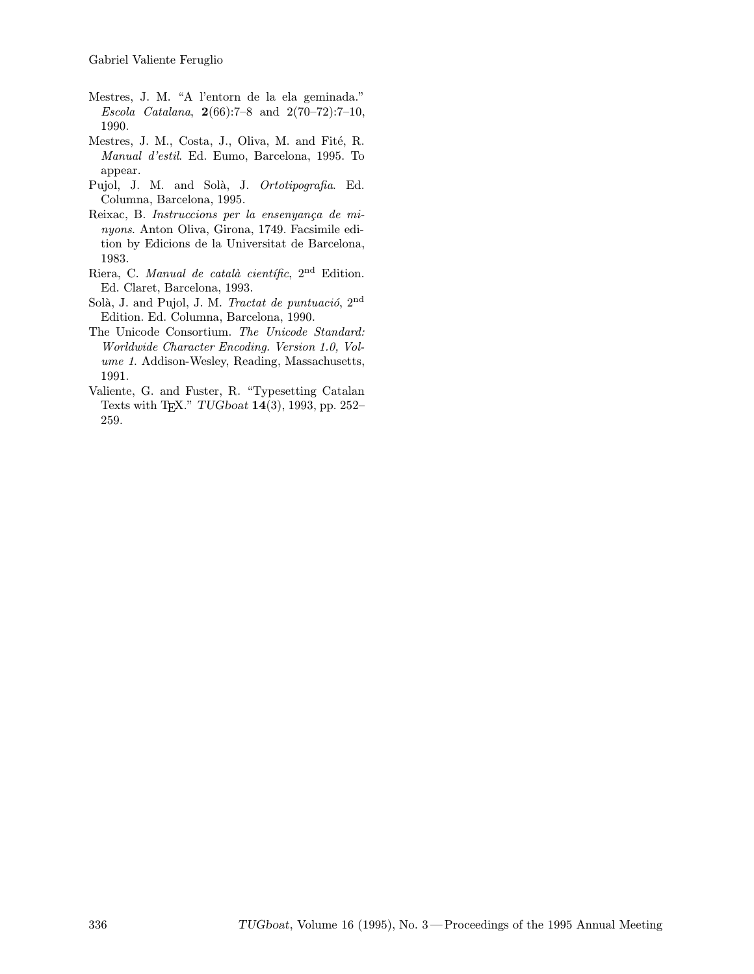- Mestres, J. M. "A l'entorn de la ela geminada." Escola Catalana,  $2(66):7-8$  and  $2(70-72):7-10$ , 1990.
- Mestres, J. M., Costa, J., Oliva, M. and Fité, R. Manual d'estil. Ed. Eumo, Barcelona, 1995. To appear.
- Pujol, J. M. and Solà, J. Ortotipografia. Ed. Columna, Barcelona, 1995.
- Reixac, B. Instruccions per la ensenyança de minyons. Anton Oliva, Girona, 1749. Facsimile edition by Edicions de la Universitat de Barcelona, 1983.
- Riera, C. Manual de català científic,  $2<sup>nd</sup>$  Edition. Ed. Claret, Barcelona, 1993.
- Solà, J. and Pujol, J. M. Tractat de puntuació, 2<sup>nd</sup> Edition. Ed. Columna, Barcelona, 1990.
- The Unicode Consortium. The Unicode Standard: Worldwide Character Encoding. Version 1.0, Volume 1. Addison-Wesley, Reading, Massachusetts, 1991.
- Valiente, G. and Fuster, R. "Typesetting Catalan Texts with TEX." TUGboat 14(3), 1993, pp. 252– 259.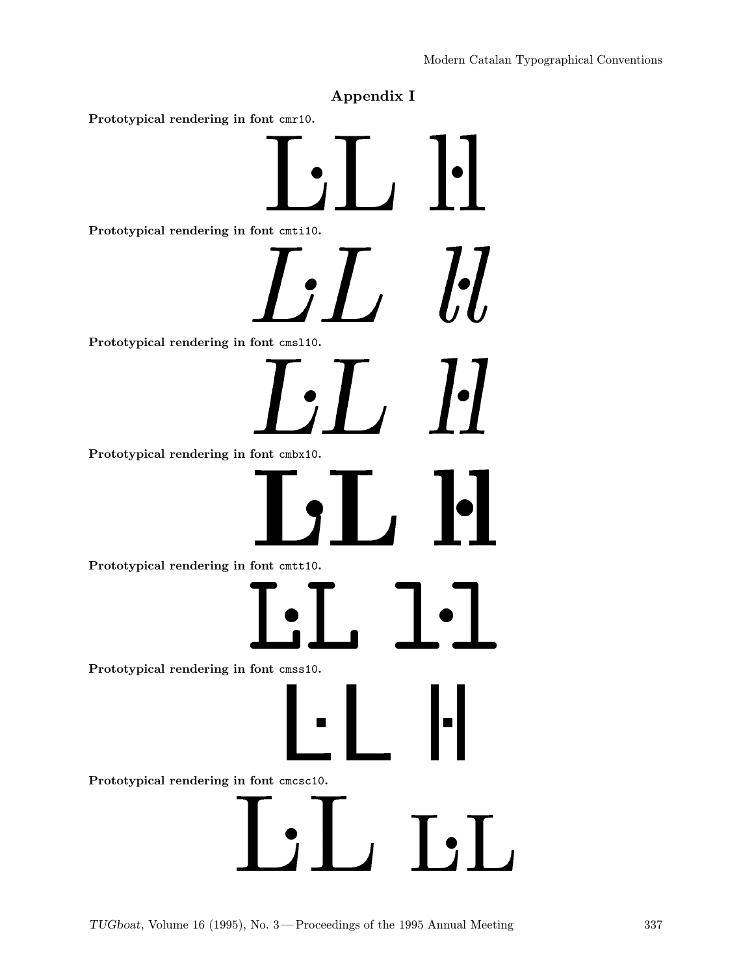# Appendix I

Prototypical rendering in font cmr10.